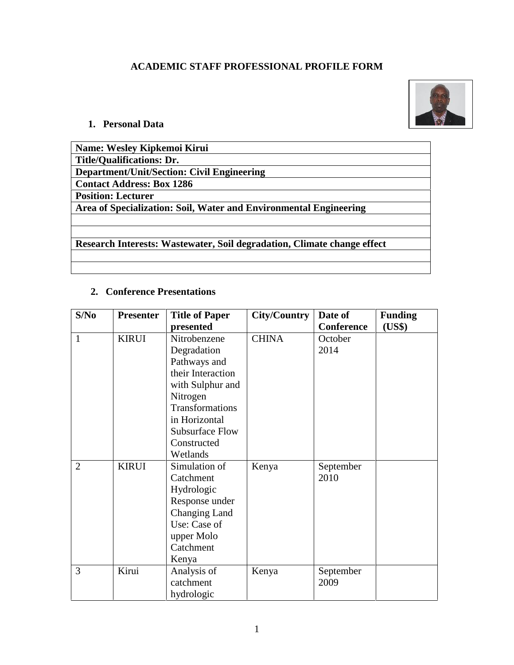# **ACADEMIC STAFF PROFESSIONAL PROFILE FORM**



# **1. Personal Data**

| Name: Wesley Kipkemoi Kirui                                             |
|-------------------------------------------------------------------------|
| <b>Title/Qualifications: Dr.</b>                                        |
| <b>Department/Unit/Section: Civil Engineering</b>                       |
| <b>Contact Address: Box 1286</b>                                        |
| <b>Position: Lecturer</b>                                               |
| Area of Specialization: Soil, Water and Environmental Engineering       |
|                                                                         |
|                                                                         |
| Research Interests: Wastewater, Soil degradation, Climate change effect |
|                                                                         |

# **2. Conference Presentations**

| S/No           | <b>Presenter</b> | <b>Title of Paper</b>  | <b>City/Country</b> | Date of           | <b>Funding</b> |
|----------------|------------------|------------------------|---------------------|-------------------|----------------|
|                |                  | presented              |                     | <b>Conference</b> | (US\$)         |
| $\mathbf{1}$   | <b>KIRUI</b>     | Nitrobenzene           | <b>CHINA</b>        | October           |                |
|                |                  | Degradation            |                     | 2014              |                |
|                |                  | Pathways and           |                     |                   |                |
|                |                  | their Interaction      |                     |                   |                |
|                |                  | with Sulphur and       |                     |                   |                |
|                |                  | Nitrogen               |                     |                   |                |
|                |                  | Transformations        |                     |                   |                |
|                |                  | in Horizontal          |                     |                   |                |
|                |                  | <b>Subsurface Flow</b> |                     |                   |                |
|                |                  | Constructed            |                     |                   |                |
|                |                  | Wetlands               |                     |                   |                |
| $\overline{2}$ | <b>KIRUI</b>     | Simulation of          | Kenya               | September         |                |
|                |                  | Catchment              |                     | 2010              |                |
|                |                  | Hydrologic             |                     |                   |                |
|                |                  | Response under         |                     |                   |                |
|                |                  | Changing Land          |                     |                   |                |
|                |                  | Use: Case of           |                     |                   |                |
|                |                  | upper Molo             |                     |                   |                |
|                |                  | Catchment              |                     |                   |                |
|                |                  | Kenya                  |                     |                   |                |
| 3              | Kirui            | Analysis of            | Kenya               | September         |                |
|                |                  | catchment              |                     | 2009              |                |
|                |                  | hydrologic             |                     |                   |                |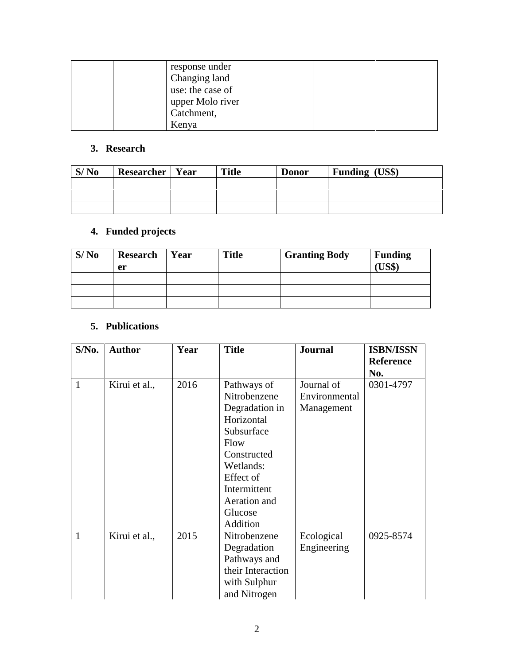| response under   |
|------------------|
| Changing land    |
| use: the case of |
| upper Molo river |
| Catchment,       |
| Kenya            |

### **3. Research**

| S/N <sub>0</sub> | <b>Researcher</b>   Year | <b>Title</b> | <b>Donor</b> | <b>Funding (US\$)</b> |
|------------------|--------------------------|--------------|--------------|-----------------------|
|                  |                          |              |              |                       |
|                  |                          |              |              |                       |
|                  |                          |              |              |                       |

# **4. Funded projects**

| S/N <sub>0</sub> | Research   Year<br>er | <b>Title</b> | <b>Granting Body</b> | <b>Funding</b><br>TTCO |
|------------------|-----------------------|--------------|----------------------|------------------------|
|                  |                       |              |                      |                        |
|                  |                       |              |                      |                        |
|                  |                       |              |                      |                        |

### **5. Publications**

| S/No.        | <b>Author</b> | Year | <b>Title</b>      | <b>Journal</b> | <b>ISBN/ISSN</b> |
|--------------|---------------|------|-------------------|----------------|------------------|
|              |               |      |                   |                | <b>Reference</b> |
|              |               |      |                   |                | No.              |
| $\mathbf{1}$ | Kirui et al., | 2016 | Pathways of       | Journal of     | 0301-4797        |
|              |               |      | Nitrobenzene      | Environmental  |                  |
|              |               |      | Degradation in    | Management     |                  |
|              |               |      | Horizontal        |                |                  |
|              |               |      | Subsurface        |                |                  |
|              |               |      | Flow              |                |                  |
|              |               |      | Constructed       |                |                  |
|              |               |      | Wetlands:         |                |                  |
|              |               |      | Effect of         |                |                  |
|              |               |      | Intermittent      |                |                  |
|              |               |      | Aeration and      |                |                  |
|              |               |      | Glucose           |                |                  |
|              |               |      | Addition          |                |                  |
| $\mathbf{1}$ | Kirui et al., | 2015 | Nitrobenzene      | Ecological     | 0925-8574        |
|              |               |      | Degradation       | Engineering    |                  |
|              |               |      | Pathways and      |                |                  |
|              |               |      | their Interaction |                |                  |
|              |               |      | with Sulphur      |                |                  |
|              |               |      | and Nitrogen      |                |                  |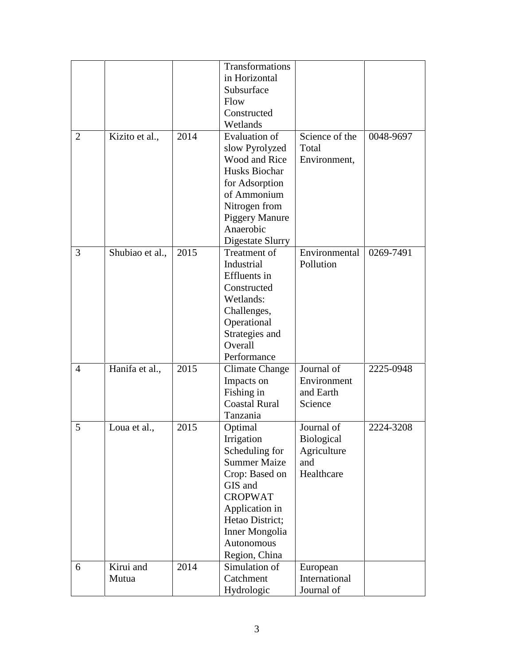|                |                    |      | Transformations<br>in Horizontal<br>Subsurface<br>Flow<br>Constructed<br>Wetlands                                                                                                                          |                                                              |           |
|----------------|--------------------|------|------------------------------------------------------------------------------------------------------------------------------------------------------------------------------------------------------------|--------------------------------------------------------------|-----------|
| $\overline{2}$ | Kizito et al.,     | 2014 | <b>Evaluation of</b><br>slow Pyrolyzed<br>Wood and Rice<br>Husks Biochar<br>for Adsorption<br>of Ammonium<br>Nitrogen from<br><b>Piggery Manure</b><br>Anaerobic<br>Digestate Slurry                       | Science of the<br>Total<br>Environment,                      | 0048-9697 |
| 3              | Shubiao et al.,    | 2015 | Treatment of<br>Industrial<br>Effluents in<br>Constructed<br>Wetlands:<br>Challenges,<br>Operational<br>Strategies and<br>Overall<br>Performance                                                           | Environmental<br>Pollution                                   | 0269-7491 |
| 4              | Hanifa et al.,     | 2015 | <b>Climate Change</b><br>Impacts on<br>Fishing in<br><b>Coastal Rural</b><br>Tanzania                                                                                                                      | Journal of<br>Environment<br>and Earth<br>Science            | 2225-0948 |
| 5              | Loua et al.,       | 2015 | Optimal<br>Irrigation<br>Scheduling for<br><b>Summer Maize</b><br>Crop: Based on<br>GIS and<br><b>CROPWAT</b><br>Application in<br>Hetao District;<br><b>Inner Mongolia</b><br>Autonomous<br>Region, China | Journal of<br>Biological<br>Agriculture<br>and<br>Healthcare | 2224-3208 |
| 6              | Kirui and<br>Mutua | 2014 | Simulation of<br>Catchment<br>Hydrologic                                                                                                                                                                   | European<br>International<br>Journal of                      |           |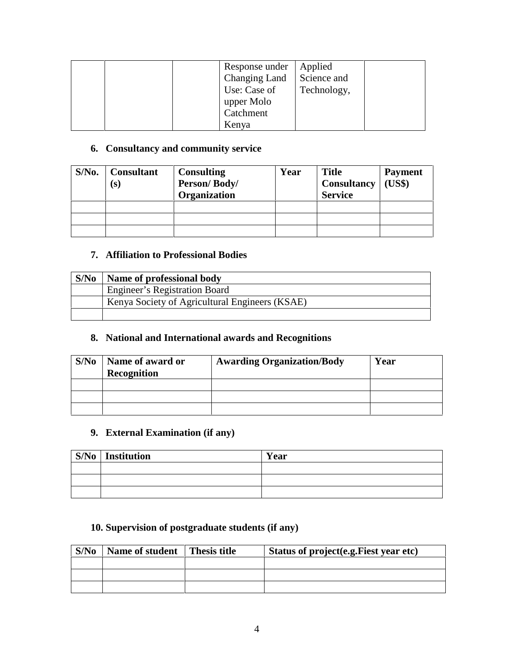| Response under<br>Changing Land<br>Use: Case of<br>upper Molo<br>Catchment | Applied<br>Science and<br>Technology, |
|----------------------------------------------------------------------------|---------------------------------------|
| Kenya                                                                      |                                       |

#### **6. Consultancy and community service**

| $S/N0$ . | <b>Consultant</b><br>(s) | <b>Consulting</b><br>Person/Body/<br>Organization | Year | <b>Title</b><br><b>Consultancy</b><br><b>Service</b> | <b>Payment</b><br>(US\$) |
|----------|--------------------------|---------------------------------------------------|------|------------------------------------------------------|--------------------------|
|          |                          |                                                   |      |                                                      |                          |
|          |                          |                                                   |      |                                                      |                          |
|          |                          |                                                   |      |                                                      |                          |

#### **7. Affiliation to Professional Bodies**

| S/No | Name of professional body                      |
|------|------------------------------------------------|
|      | <b>Engineer's Registration Board</b>           |
|      | Kenya Society of Agricultural Engineers (KSAE) |
|      |                                                |

### **8. National and International awards and Recognitions**

| S/N <sub>0</sub> | Name of award or<br>Recognition | <b>Awarding Organization/Body</b> | Year |
|------------------|---------------------------------|-----------------------------------|------|
|                  |                                 |                                   |      |
|                  |                                 |                                   |      |
|                  |                                 |                                   |      |

## **9. External Examination (if any)**

| $S/No$ Institution | Year |
|--------------------|------|
|                    |      |
|                    |      |
|                    |      |

## **10. Supervision of postgraduate students (if any)**

| S/No | Name of student | <b>Thesis title</b> | Status of project (e.g. Fiest year etc) |
|------|-----------------|---------------------|-----------------------------------------|
|      |                 |                     |                                         |
|      |                 |                     |                                         |
|      |                 |                     |                                         |